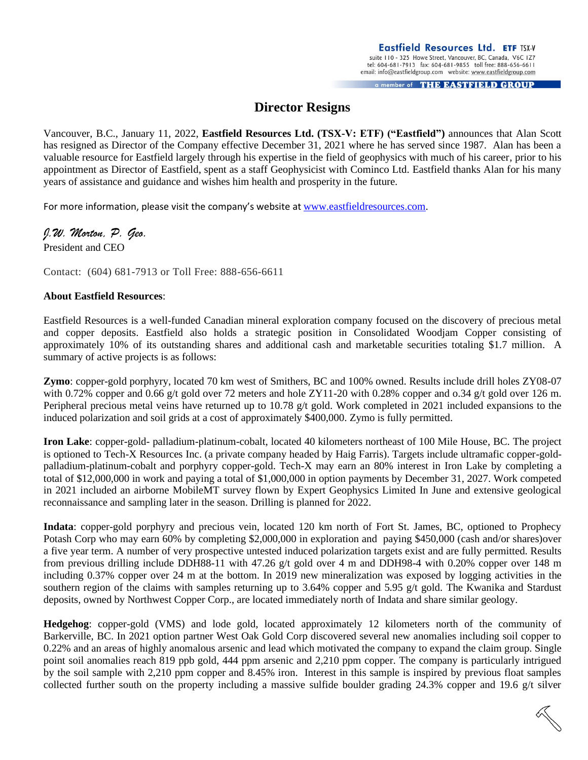tel: 604-681-7913 fax: 604-681-9855 toll free: 888-656-6611 email: info@eastfieldgroup.com website: www.eastfieldgroup.com a member of THE EASTFIELD GROUP

## **Director Resigns**

Vancouver, B.C., January 11, 2022, **Eastfield Resources Ltd. (TSX-V: ETF) ("Eastfield")** announces that Alan Scott has resigned as Director of the Company effective December 31, 2021 where he has served since 1987. Alan has been a valuable resource for Eastfield largely through his expertise in the field of geophysics with much of his career, prior to his appointment as Director of Eastfield, spent as a staff Geophysicist with Cominco Ltd. Eastfield thanks Alan for his many years of assistance and guidance and wishes him health and prosperity in the future.

For more information, please visit the company's website at [www.eastfieldresources.com.](http://www.eastfieldresources.com/)

## *J.W. Morton, P. Geo.*

President and CEO

Contact: (604) 681-7913 or Toll Free: 888-656-6611

## **About Eastfield Resources**:

Eastfield Resources is a well-funded Canadian mineral exploration company focused on the discovery of precious metal and copper deposits. Eastfield also holds a strategic position in Consolidated Woodjam Copper consisting of approximately 10% of its outstanding shares and additional cash and marketable securities totaling \$1.7 million. A summary of active projects is as follows:

**Zymo**: copper-gold porphyry, located 70 km west of Smithers, BC and 100% owned. Results include drill holes ZY08-07 with 0.72% copper and 0.66 g/t gold over 72 meters and hole ZY11-20 with 0.28% copper and 0.34 g/t gold over 126 m. Peripheral precious metal veins have returned up to 10.78  $g/t$  gold. Work completed in 2021 included expansions to the induced polarization and soil grids at a cost of approximately \$400,000. Zymo is fully permitted.

**Iron Lake**: copper-gold- palladium-platinum-cobalt, located 40 kilometers northeast of 100 Mile House, BC. The project is optioned to Tech-X Resources Inc. (a private company headed by Haig Farris). Targets include ultramafic copper-goldpalladium-platinum-cobalt and porphyry copper-gold. Tech-X may earn an 80% interest in Iron Lake by completing a total of \$12,000,000 in work and paying a total of \$1,000,000 in option payments by December 31, 2027. Work competed in 2021 included an airborne MobileMT survey flown by Expert Geophysics Limited In June and extensive geological reconnaissance and sampling later in the season. Drilling is planned for 2022.

**Indata**: copper-gold porphyry and precious vein, located 120 km north of Fort St. James, BC, optioned to Prophecy Potash Corp who may earn 60% by completing \$2,000,000 in exploration and paying \$450,000 (cash and/or shares)over a five year term. A number of very prospective untested induced polarization targets exist and are fully permitted. Results from previous drilling include DDH88-11 with 47.26 g/t gold over 4 m and DDH98-4 with 0.20% copper over 148 m including 0.37% copper over 24 m at the bottom. In 2019 new mineralization was exposed by logging activities in the southern region of the claims with samples returning up to 3.64% copper and 5.95  $g/t$  gold. The Kwanika and Stardust deposits, owned by Northwest Copper Corp., are located immediately north of Indata and share similar geology.

**Hedgehog**: copper-gold (VMS) and lode gold, located approximately 12 kilometers north of the community of Barkerville, BC. In 2021 option partner West Oak Gold Corp discovered several new anomalies including soil copper to 0.22% and an areas of highly anomalous arsenic and lead which motivated the company to expand the claim group. Single point soil anomalies reach 819 ppb gold, 444 ppm arsenic and 2,210 ppm copper. The company is particularly intrigued by the soil sample with 2,210 ppm copper and 8.45% iron. Interest in this sample is inspired by previous float samples collected further south on the property including a massive sulfide boulder grading 24.3% copper and 19.6 g/t silver